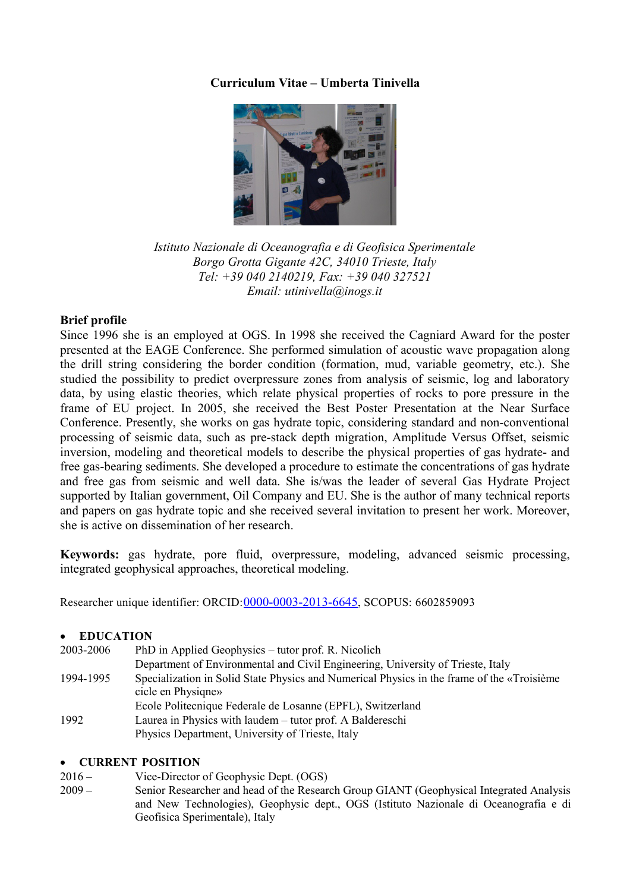# **Curriculum Vitae – Umberta Tinivella**



*Istituto Nazionale di Oceanografia e di Geofisica Sperimentale Borgo Grotta Gigante 42C, 34010 Trieste, Italy Tel: +39 040 2140219, Fax: +39 040 327521 Email: utinivella@inogs.it*

# **Brief profile**

Since 1996 she is an employed at OGS. In 1998 she received the Cagniard Award for the poster presented at the EAGE Conference. She performed simulation of acoustic wave propagation along the drill string considering the border condition (formation, mud, variable geometry, etc.). She studied the possibility to predict overpressure zones from analysis of seismic, log and laboratory data, by using elastic theories, which relate physical properties of rocks to pore pressure in the frame of EU project. In 2005, she received the Best Poster Presentation at the Near Surface Conference. Presently, she works on gas hydrate topic, considering standard and non-conventional processing of seismic data, such as pre-stack depth migration, Amplitude Versus Offset, seismic inversion, modeling and theoretical models to describe the physical properties of gas hydrate- and free gas-bearing sediments. She developed a procedure to estimate the concentrations of gas hydrate and free gas from seismic and well data. She is/was the leader of several Gas Hydrate Project supported by Italian government, Oil Company and EU. She is the author of many technical reports and papers on gas hydrate topic and she received several invitation to present her work. Moreover, she is active on dissemination of her research.

**Keywords:** gas hydrate, pore fluid, overpressure, modeling, advanced seismic processing, integrated geophysical approaches, theoretical modeling.

Researcher unique identifier: ORCID:[0000-0003-2013-6645](http://orcid.org/0000-0003-2013-6645), SCOPUS: 6602859093

#### **EDUCATION**

| 2003-2006         | PhD in Applied Geophysics – tutor prof. R. Nicolich                                        |
|-------------------|--------------------------------------------------------------------------------------------|
| 1994-1995<br>1992 | Department of Environmental and Civil Engineering, University of Trieste, Italy            |
|                   | Specialization in Solid State Physics and Numerical Physics in the frame of the «Troisième |
|                   | cicle en Physiqne»                                                                         |
|                   | Ecole Politecnique Federale de Losanne (EPFL), Switzerland                                 |
|                   | Laurea in Physics with laudem – tutor prof. A Baldereschi                                  |
|                   | Physics Department, University of Trieste, Italy                                           |

### **CURRENT POSITION**

- 2016 Vice-Director of Geophysic Dept. (OGS)
- 2009 Senior Researcher and head of the Research Group GIANT (Geophysical Integrated Analysis and New Technologies), Geophysic dept., OGS (Istituto Nazionale di Oceanografia e di Geofisica Sperimentale), Italy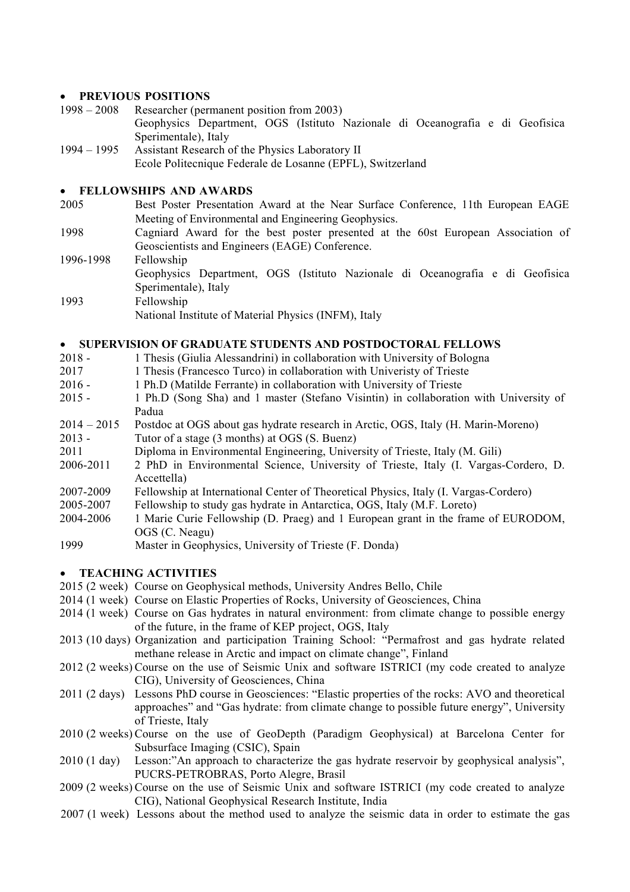# **• PREVIOUS POSITIONS**<br>1998 – 2008 **Researcher (period**

- Researcher (permanent position from 2003) Geophysics Department, OGS (Istituto Nazionale di Oceanografia e di Geofisica Sperimentale), Italy
- 1994 1995 Assistant Research of the Physics Laboratory II Ecole Politecnique Federale de Losanne (EPFL), Switzerland

### **FELLOWSHIPS AND AWARDS**

- 2005 Best Poster Presentation Award at the Near Surface Conference, 11th European EAGE Meeting of Environmental and Engineering Geophysics.
- 1998 Cagniard Award for the best poster presented at the 60st European Association of Geoscientists and Engineers (EAGE) Conference.
- 1996-1998 Fellowship Geophysics Department, OGS (Istituto Nazionale di Oceanografia e di Geofisica Sperimentale), Italy 1993 Fellowship National Institute of Material Physics (INFM), Italy

## **SUPERVISION OF GRADUATE STUDENTS AND POSTDOCTORAL FELLOWS**

- 2018 1 Thesis (Giulia Alessandrini) in collaboration with University of Bologna
- 2017 1 Thesis (Francesco Turco) in collaboration with Univeristy of Trieste
- 2016 1 Ph.D (Matilde Ferrante) in collaboration with University of Trieste
- 2015 1 Ph.D (Song Sha) and 1 master (Stefano Visintin) in collaboration with University of Padua
- 2014 2015 Postdoc at OGS about gas hydrate research in Arctic, OGS, Italy (H. Marin-Moreno)
- 2013 Tutor of a stage (3 months) at OGS (S. Buenz)
- 2011 Diploma in Environmental Engineering, University of Trieste, Italy (M. Gili)
- 2006-2011 2 PhD in Environmental Science, University of Trieste, Italy (I. Vargas-Cordero, D. Accettella)
- 2007-2009 Fellowship at International Center of Theoretical Physics, Italy (I. Vargas-Cordero)
- 2005-2007 Fellowship to study gas hydrate in Antarctica, OGS, Italy (M.F. Loreto)
- 2004-2006 1 Marie Curie Fellowship (D. Praeg) and 1 European grant in the frame of EURODOM, OGS (C. Neagu)
- 1999 Master in Geophysics, University of Trieste (F. Donda)

## **TEACHING ACTIVITIES**

- 2015 (2 week) Course on Geophysical methods, University Andres Bello, Chile
- 2014 (1 week) Course on Elastic Properties of Rocks, University of Geosciences, China
- 2014 (1 week) Course on Gas hydrates in natural environment: from climate change to possible energy of the future, in the frame of KEP project, OGS, Italy
- 2013 (10 days) Organization and participation Training School: "Permafrost and gas hydrate related methane release in Arctic and impact on climate change", Finland
- 2012 (2 weeks) Course on the use of Seismic Unix and software ISTRICI (my code created to analyze CIG), University of Geosciences, China
- 2011 (2 days) Lessons PhD course in Geosciences: "Elastic properties of the rocks: AVO and theoretical approaches" and "Gas hydrate: from climate change to possible future energy", University of Trieste, Italy
- 2010 (2 weeks) Course on the use of GeoDepth (Paradigm Geophysical) at Barcelona Center for Subsurface Imaging (CSIC), Spain
- 2010 (1 day) Lesson:"An approach to characterize the gas hydrate reservoir by geophysical analysis", PUCRS-PETROBRAS, Porto Alegre, Brasil
- 2009 (2 weeks) Course on the use of Seismic Unix and software ISTRICI (my code created to analyze CIG), National Geophysical Research Institute, India
- 2007 (1 week) Lessons about the method used to analyze the seismic data in order to estimate the gas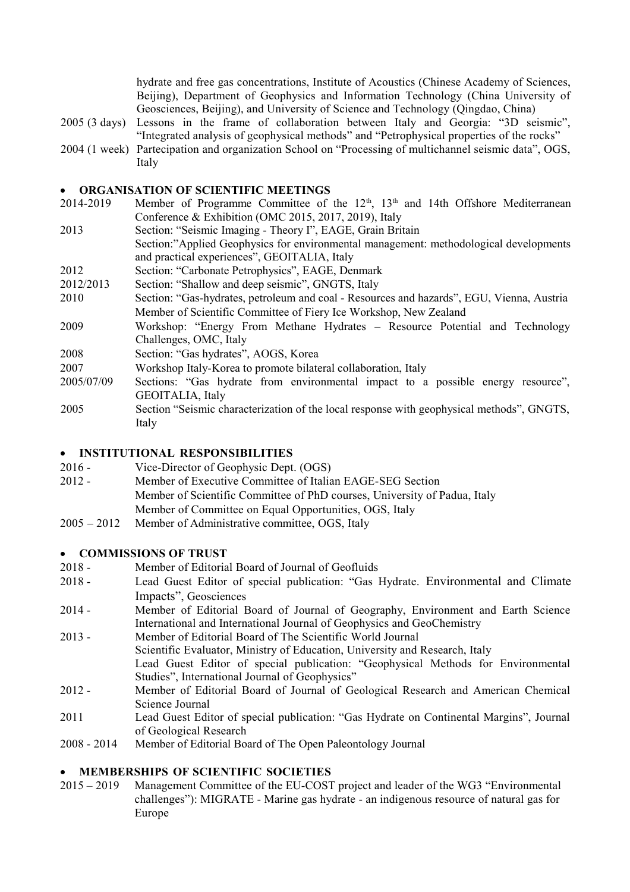hydrate and free gas concentrations, Institute of Acoustics (Chinese Academy of Sciences, Beijing), Department of Geophysics and Information Technology (China University of Geosciences, Beijing), and University of Science and Technology (Qingdao, China)

- 2005 (3 days) Lessons in the frame of collaboration between Italy and Georgia: "3D seismic", "Integrated analysis of geophysical methods" and "Petrophysical properties of the rocks"
- 2004 (1 week) Partecipation and organization School on "Processing of multichannel seismic data", OGS, Italy

#### **ORGANISATION OF SCIENTIFIC MEETINGS**

- 2014-2019 Member of Programme Committee of the  $12<sup>th</sup>$ ,  $13<sup>th</sup>$  and 14th Offshore Mediterranean Conference & Exhibition (OMC 2015, 2017, 2019), Italy
- 2013 Section: "Seismic Imaging Theory I", EAGE, Grain Britain Section:"Applied Geophysics for environmental management: methodological developments and practical experiences", GEOITALIA, Italy
- 2012 Section: "Carbonate Petrophysics", EAGE, Denmark
- 2012/2013 Section: "Shallow and deep seismic", GNGTS, Italy
- 2010 Section: "Gas-hydrates, petroleum and coal Resources and hazards", EGU, Vienna, Austria Member of Scientific Committee of Fiery Ice Workshop, New Zealand
- 2009 Workshop: "Energy From Methane Hydrates Resource Potential and Technology Challenges, OMC, Italy
- 2008 Section: "Gas hydrates", AOGS, Korea
- 2007 Workshop Italy-Korea to promote bilateral collaboration, Italy
- 2005/07/09 Sections: "Gas hydrate from environmental impact to a possible energy resource", GEOITALIA, Italy
- 2005 Section "Seismic characterization of the local response with geophysical methods", GNGTS, Italy

#### **INSTITUTIONAL RESPONSIBILITIES**

- 2016 Vice-Director of Geophysic Dept. (OGS)
- 2012 Member of Executive Committee of Italian EAGE-SEG Section Member of Scientific Committee of PhD courses, University of Padua, Italy Member of Committee on Equal Opportunities, OGS, Italy
- 2005 2012 Member of Administrative committee, OGS, Italy

#### **COMMISSIONS OF TRUST**

- 2018 Member of Editorial Board of Journal of Geofluids
- 2018 Lead Guest Editor of special publication: "Gas Hydrate. Environmental and Climate Impacts", Geosciences
- 2014 Member of Editorial Board of Journal of Geography, Environment and Earth Science International and International Journal of Geophysics and GeoChemistry
- 2013 Member of Editorial Board of The Scientific World Journal Scientific Evaluator, Ministry of Education, University and Research, Italy Lead Guest Editor of special publication: "Geophysical Methods for Environmental Studies", International Journal of Geophysics"
- 2012 Member of Editorial Board of Journal of Geological Research and American Chemical Science Journal
- 2011 Lead Guest Editor of special publication: "Gas Hydrate on Continental Margins", Journal of Geological Research
- 2008 2014 Member of Editorial Board of The Open Paleontology Journal

# **MEMBERSHIPS OF SCIENTIFIC SOCIETIES**

2015 – 2019 Management Committee of the EU-COST project and leader of the WG3 "Environmental challenges"): MIGRATE - Marine gas hydrate - an indigenous resource of natural gas for Europe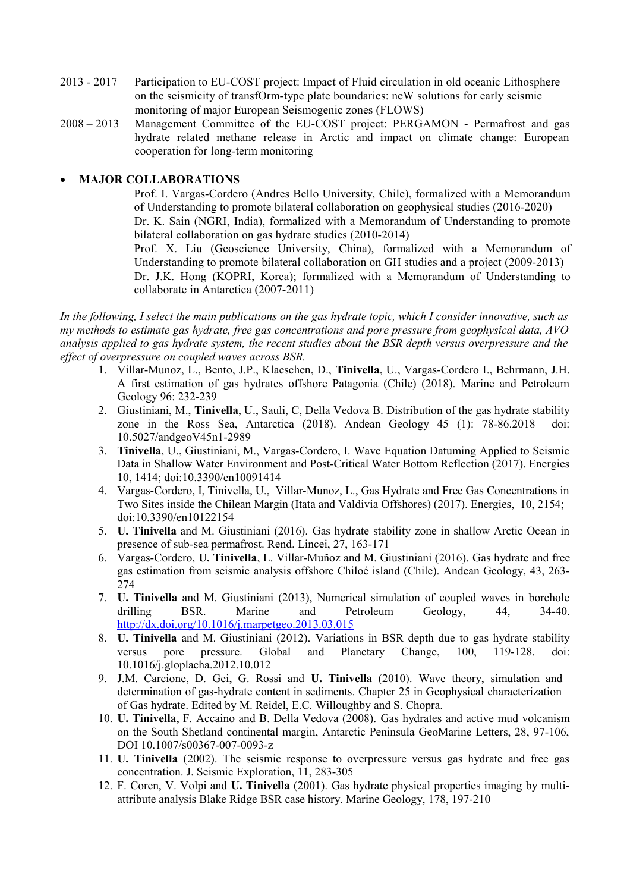- 2013 2017 Participation to EU-COST project: Impact of Fluid circulation in old oceanic Lithosphere on the seismicity of transfOrm-type plate boundaries: neW solutions for early seismic monitoring of major European Seismogenic zones (FLOWS)
- 2008 2013 Management Committee of the EU-COST project: PERGAMON Permafrost and gas hydrate related methane release in Arctic and impact on climate change: European cooperation for long-term monitoring

## **MAJOR COLLABORATIONS**

Prof. I. Vargas-Cordero (Andres Bello University, Chile), formalized with a Memorandum of Understanding to promote bilateral collaboration on geophysical studies (2016-2020) Dr. K. Sain (NGRI, India), formalized with a Memorandum of Understanding to promote bilateral collaboration on gas hydrate studies (2010-2014)

Prof. X. Liu (Geoscience University, China), formalized with a Memorandum of Understanding to promote bilateral collaboration on GH studies and a project (2009-2013) Dr. J.K. Hong (KOPRI, Korea); formalized with a Memorandum of Understanding to collaborate in Antarctica (2007-2011)

*In the following, I select the main publications on the gas hydrate topic, which I consider innovative, such as my methods to estimate gas hydrate, free gas concentrations and pore pressure from geophysical data, AVO analysis applied to gas hydrate system, the recent studies about the BSR depth versus overpressure and the effect of overpressure on coupled waves across BSR.*

- 1. Villar-Munoz, L., Bento, J.P., Klaeschen, D., **Tinivella**, U., Vargas-Cordero I., Behrmann, J.H. A first estimation of gas hydrates offshore Patagonia (Chile) (2018). Marine and Petroleum Geology 96: 232-239
- 2. Giustiniani, M., **Tinivella**, U., Sauli, C, Della Vedova B. Distribution of the gas hydrate stability zone in the Ross Sea, Antarctica (2018). Andean Geology 45 (1): 78-86.2018 doi: 10.5027/andgeoV45n1-2989
- 3. **Tinivella**, U., Giustiniani, M., Vargas-Cordero, I. Wave Equation Datuming Applied to Seismic Data in Shallow Water Environment and Post-Critical Water Bottom Reflection (2017). Energies 10, 1414; doi:10.3390/en10091414
- 4. Vargas-Cordero, I, Tinivella, U., Villar-Munoz, L., Gas Hydrate and Free Gas Concentrations in Two Sites inside the Chilean Margin (Itata and Valdivia Offshores) (2017). Energies, 10, 2154; doi:10.3390/en10122154
- 5. **U. Tinivella** and M. Giustiniani (2016). Gas hydrate stability zone in shallow Arctic Ocean in presence of sub-sea permafrost. Rend. Lincei, 27, 163-171
- 6. Vargas-Cordero, **U. Tinivella**, L. Villar-Muñoz and M. Giustiniani (2016). Gas hydrate and free gas estimation from seismic analysis offshore Chiloé island (Chile). Andean Geology, 43, 263- 274
- 7. **U. Tinivella** and M. Giustiniani (2013), Numerical simulation of coupled waves in borehole drilling BSR. Marine and Petroleum Geology, 44, 34-40. http://dx.doi.org/10.1016/j.marpetgeo.2013.03.015
- 8. **U. Tinivella** and M. Giustiniani (2012). Variations in BSR depth due to gas hydrate stability versus pore pressure. Global and Planetary Change, 100, 119-128. doi: 10.1016/j.gloplacha.2012.10.012
- 9. J.M. Carcione, D. Gei, G. Rossi and **U. Tinivella** (2010). Wave theory, simulation and determination of gas-hydrate content in sediments. Chapter 25 in Geophysical characterization of Gas hydrate. Edited by M. Reidel, E.C. Willoughby and S. Chopra.
- 10. **U. Tinivella**, F. Accaino and B. Della Vedova (2008). Gas hydrates and active mud volcanism on the South Shetland continental margin, Antarctic Peninsula GeoMarine Letters, 28, 97-106, DOI 10.1007/s00367-007-0093-z
- 11. **U. Tinivella** (2002). The seismic response to overpressure versus gas hydrate and free gas concentration. J. Seismic Exploration, 11, 283-305
- 12. F. Coren, V. Volpi and **U. Tinivella** (2001). Gas hydrate physical properties imaging by multiattribute analysis Blake Ridge BSR case history. Marine Geology, 178, 197-210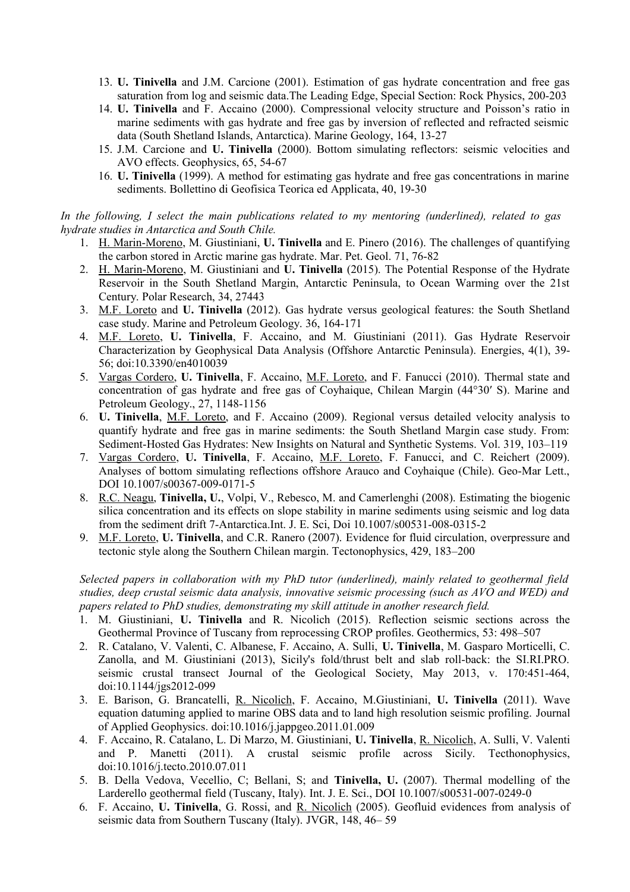- 13. **U. Tinivella** and J.M. Carcione (2001). Estimation of gas hydrate concentration and free gas saturation from log and seismic data.The Leading Edge, Special Section: Rock Physics, 200-203
- 14. **U. Tinivella** and F. Accaino (2000). Compressional velocity structure and Poisson's ratio in marine sediments with gas hydrate and free gas by inversion of reflected and refracted seismic data (South Shetland Islands, Antarctica). Marine Geology, 164, 13-27
- 15. J.M. Carcione and **U. Tinivella** (2000). Bottom simulating reflectors: seismic velocities and AVO effects. Geophysics, 65, 54-67
- 16. **U. Tinivella** (1999). A method for estimating gas hydrate and free gas concentrations in marine sediments. Bollettino di Geofisica Teorica ed Applicata, 40, 19-30

#### *In the following, I select the main publications related to my mentoring (underlined), related to gas hydrate studies in Antarctica and South Chile.*

- 1. H. Marin-Moreno, M. Giustiniani, **U. Tinivella** and E. Pinero (2016). The challenges of quantifying the carbon stored in Arctic marine gas hydrate. Mar. Pet. Geol. 71, 76-82
- 2. H. Marin-Moreno, M. Giustiniani and **U. Tinivella** (2015). The Potential Response of the Hydrate Reservoir in the South Shetland Margin, Antarctic Peninsula, to Ocean Warming over the 21st Century. Polar Research, 34, 27443
- 3. M.F. Loreto and **U. Tinivella** (2012). Gas hydrate versus geological features: the South Shetland case study. Marine and Petroleum Geology. 36, 164-171
- 4. M.F. Loreto, **U. Tinivella**, F. Accaino, and M. Giustiniani (2011). Gas Hydrate Reservoir Characterization by Geophysical Data Analysis (Offshore Antarctic Peninsula). Energies, 4(1), 39- 56; doi:10.3390/en4010039
- 5. Vargas Cordero, **U. Tinivella**, F. Accaino, M.F. Loreto, and F. Fanucci (2010). Thermal state and concentration of gas hydrate and free gas of Coyhaique, Chilean Margin (44°30′ S). Marine and Petroleum Geology., 27, 1148-1156
- 6. **U. Tinivella**, M.F. Loreto, and F. Accaino (2009). Regional versus detailed velocity analysis to quantify hydrate and free gas in marine sediments: the South Shetland Margin case study. From: Sediment-Hosted Gas Hydrates: New Insights on Natural and Synthetic Systems. Vol. 319, 103–119
- 7. Vargas Cordero, **U. Tinivella**, F. Accaino, M.F. Loreto, F. Fanucci, and C. Reichert (2009). Analyses of bottom simulating reflections offshore Arauco and Coyhaique (Chile). Geo-Mar Lett., DOI 10.1007/s00367-009-0171-5
- 8. R.C. Neagu, **Tinivella, U.**, Volpi, V., Rebesco, M. and Camerlenghi (2008). Estimating the biogenic silica concentration and its effects on slope stability in marine sediments using seismic and log data from the sediment drift 7-Antarctica.Int. J. E. Sci, Doi 10.1007/s00531-008-0315-2
- 9. M.F. Loreto, **U. Tinivella**, and C.R. Ranero (2007). Evidence for fluid circulation, overpressure and tectonic style along the Southern Chilean margin. Tectonophysics, 429, 183–200

*Selected papers in collaboration with my PhD tutor (underlined), mainly related to geothermal field studies, deep crustal seismic data analysis, innovative seismic processing (such as AVO and WED) and papers related to PhD studies, demonstrating my skill attitude in another research field.*

- 1. M. Giustiniani, **U. Tinivella** and R. Nicolich (2015). Reflection seismic sections across the Geothermal Province of Tuscany from reprocessing CROP profiles. Geothermics, 53: 498–507
- 2. R. Catalano, V. Valenti, C. Albanese, F. Accaino, A. Sulli, **U. Tinivella**, M. Gasparo Morticelli, C. Zanolla, and M. Giustiniani (2013), Sicily's fold/thrust belt and slab roll-back: the SI.RI.PRO. seismic crustal transect Journal of the Geological Society, May 2013, v. 170:451-464, doi:10.1144/jgs2012-099
- 3. E. Barison, G. Brancatelli, R. Nicolich, F. Accaino, M.Giustiniani, **U. Tinivella** (2011). Wave equation datuming applied to marine OBS data and to land high resolution seismic profiling. Journal of Applied Geophysics. doi:10.1016/j.jappgeo.2011.01.009
- 4. F. Accaino, R. Catalano, L. Di Marzo, M. Giustiniani, **U. Tinivella**, R. Nicolich, A. Sulli, V. Valenti and P. Manetti (2011). A crustal seismic profile across Sicily. Tecthonophysics, doi:10.1016/j.tecto.2010.07.011
- 5. B. Della Vedova, Vecellio, C; Bellani, S; and **Tinivella, U.** (2007). Thermal modelling of the Larderello geothermal field (Tuscany, Italy). Int. J. E. Sci., DOI 10.1007/s00531-007-0249-0
- 6. F. Accaino, **U. Tinivella**, G. Rossi, and R. Nicolich (2005). Geofluid evidences from analysis of seismic data from Southern Tuscany (Italy). JVGR, 148, 46– 59